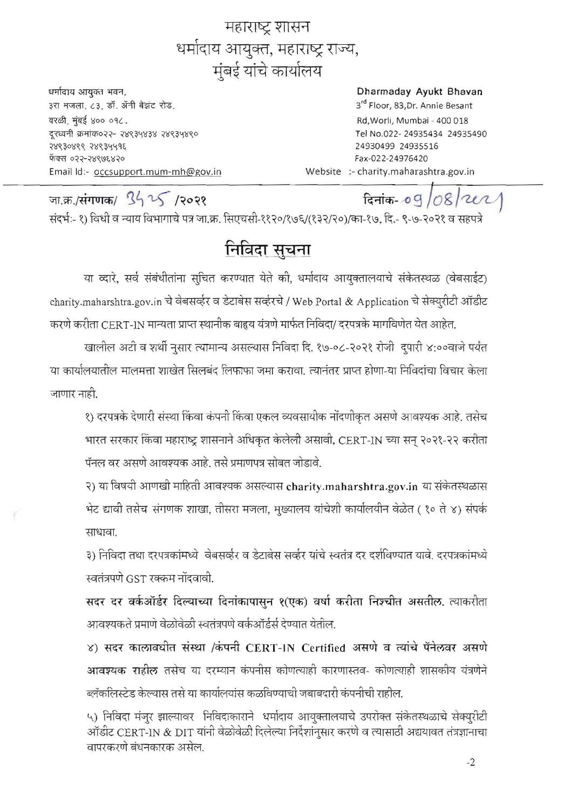महाराष्ट्र शासन धर्मादाय आयुक्त, महाराष्ट्र राज्य, मुंबई यांचे कार्यालय

धर्मादाय आयुक्त भवन, ३रा मजला, ८३, डॉ. ॲनी बेझंट रोड. वरळी, मंबई ४०० ०१८. दूरध्वनी क्रमांक०२२- २४९३५४३४ २४९३५४९० 38630866 58634498 फॅक्स ०२२-२४९७६४२० Email Id:- occsupport.mum-mh@gov.in

## Dharmaday Ayukt Bhavan

3rd Floor, 83, Dr. Annie Besant Rd, Worli, Mumbai - 400 018 Tel No.022-24935434 24935490 24930499 24935516 Fax-022-24976420 Website :- charity.maharashtra.gov.in

जा.क्र./संगणक/ 3425 /२०२१ दिनांक-09/08/2021 संदर्भः- १) विधी व न्याय विभागाचे पत्र जा.क्र. सिएचसी-११२०/१७६/(१३२/२०)/का-१७. दि.- ९-७-२०२१ व सहपत्रे

## निविदा सूचना

या व्दारे, सर्व संबंधीतांना सचित करण्यात येते की, धर्मादाय आयुक्तालयाचे संकेतस्थळ (वेबसाईट) charity.maharshtra.gov.in चे वेबसर्व्हर व डेटाबेस सर्व्हरचे / Web Portal & Application चे सेक्युरीटी ऑडीट करणे करीता CERT-IN मान्यता प्राप्त स्थानीक बाह्रय यंत्रणे मार्फत निविदा/ दरपत्रके मार्गावणेत येत आहेत.

खालील अटी व शर्थी नुसार त्यामान्य असल्यास निविदा दि. १७-०८-२०२१ रोजी दुपारी ४:००वाजे पर्यंत या कार्यालयातील मालमत्ता शाखेत सिलबंद लिफाफा जमा करावा। त्यानंतर प्राप्त होणा-या निविदांचा विचार केला जाणार नाही.

१) दरपत्रके देणारी संस्था किंवा कंपनी किंवा एकल व्यवसायीक नोंदणीकृत असणे आवश्यक आहे. तसेच भारत सरकार किंवा महाराष्ट्र शासनाने अधिकृत केलेली असावी, CERT-IN च्या सन् २०२१-२२ करीता पॅनल वर असणे आवश्यक आहे. तसे प्रमाणपत्र सोबत जोडावे.

२) या विषयी आणखी माहिती आवश्यक असल्यास charity.maharshtra.gov.in या संकेतस्थळास भेट द्यावी तसेच संगणक शाखा, तीसरा मजला, मुख्यालय यांचेशी कार्यालयीन वेळेत ( १० ते ४) संपर्क साधावा

३) निविदा तथा दरपत्रकांमध्ये वेबसर्व्हर व डेटाबेस सर्व्हर यांचे स्वतंत्र दर दर्शविण्यात यावे. दरपत्रकांमध्ये स्वतंत्रपणे GST रक्कम नोंदवावी.

सदर दर वर्कऑर्डर दिल्याच्या दिनांकापासून १(एक) वर्षा करीता निश्चीत असतील. त्याकरीता आवश्यकते प्रमाणे वेळोबेळी स्वतंत्रपणे वर्कऑर्डर्स देण्यात येतील.

४) सदर कालावधीत संस्था /कंपनी CERT-IN Certified असणे व त्यांचे पॅनेलवर असणे आवश्यक राहील तसेच या दरम्यान कंपनीस कोणत्याही कारणास्तव- कोणत्याही शासकीय यंत्रणेने ब्लॅकलिस्टेड केल्यास तसे या कार्यालयांस कळविण्याची जबाबदारी कंपनीची राहील.

५) निविदा मंजूर झाल्यावर निविदाकाराने धर्मादाय आयुक्तालयाचे उपरोक्त संकेतस्थळाचे सेक्युरीटी ऑडीट CERT-IN & DIT यांनी वेळोवेळी दिलेल्या निर्देशांनुसार करणे व त्यासाठी अद्ययावत तंत्रज्ञानाचा वापरकरणे बंधनकारक असेल.